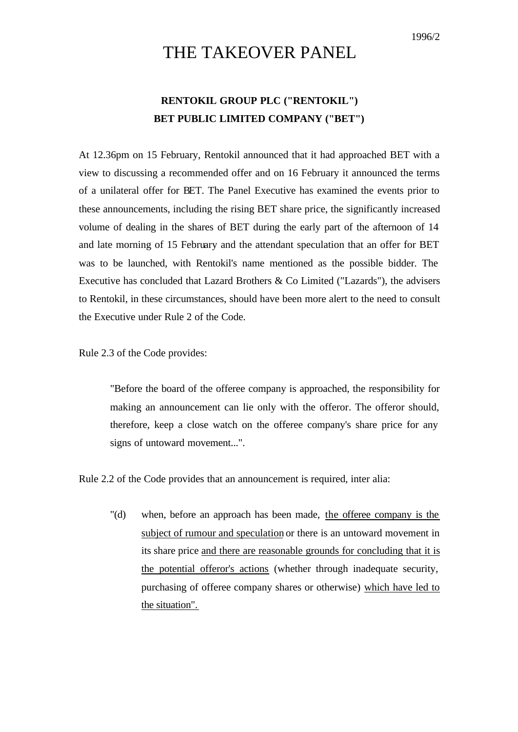## THE TAKEOVER PANEL

## **RENTOKIL GROUP PLC ("RENTOKIL") BET PUBLIC LIMITED COMPANY ("BET")**

At 12.36pm on 15 February, Rentokil announced that it had approached BET with a view to discussing a recommended offer and on 16 February it announced the terms of a unilateral offer for BET. The Panel Executive has examined the events prior to these announcements, including the rising BET share price, the significantly increased volume of dealing in the shares of BET during the early part of the afternoon of 14 and late morning of 15 February and the attendant speculation that an offer for BET was to be launched, with Rentokil's name mentioned as the possible bidder. The Executive has concluded that Lazard Brothers & Co Limited ("Lazards"), the advisers to Rentokil, in these circumstances, should have been more alert to the need to consult the Executive under Rule 2 of the Code.

Rule 2.3 of the Code provides:

"Before the board of the offeree company is approached, the responsibility for making an announcement can lie only with the offeror. The offeror should, therefore, keep a close watch on the offeree company's share price for any signs of untoward movement...".

Rule 2.2 of the Code provides that an announcement is required, inter alia:

"(d) when, before an approach has been made, the offeree company is the subject of rumour and speculation or there is an untoward movement in its share price and there are reasonable grounds for concluding that it is the potential offeror's actions (whether through inadequate security, purchasing of offeree company shares or otherwise) which have led to the situation".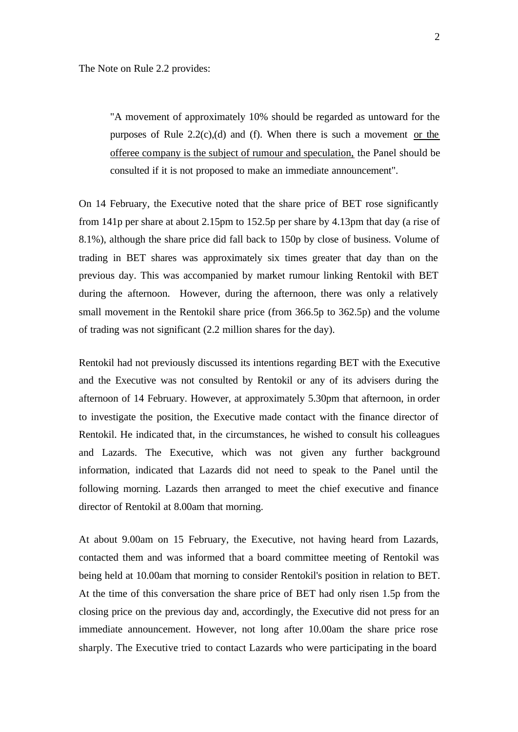"A movement of approximately 10% should be regarded as untoward for the purposes of Rule 2.2(c),(d) and (f). When there is such a movement or the offeree company is the subject of rumour and speculation, the Panel should be consulted if it is not proposed to make an immediate announcement".

On 14 February, the Executive noted that the share price of BET rose significantly from 141p per share at about 2.15pm to 152.5p per share by 4.13pm that day (a rise of 8.1%), although the share price did fall back to 150p by close of business. Volume of trading in BET shares was approximately six times greater that day than on the previous day. This was accompanied by market rumour linking Rentokil with BET during the afternoon. However, during the afternoon, there was only a relatively small movement in the Rentokil share price (from 366.5p to 362.5p) and the volume of trading was not significant (2.2 million shares for the day).

Rentokil had not previously discussed its intentions regarding BET with the Executive and the Executive was not consulted by Rentokil or any of its advisers during the afternoon of 14 February. However, at approximately 5.30pm that afternoon, in order to investigate the position, the Executive made contact with the finance director of Rentokil. He indicated that, in the circumstances, he wished to consult his colleagues and Lazards. The Executive, which was not given any further background information, indicated that Lazards did not need to speak to the Panel until the following morning. Lazards then arranged to meet the chief executive and finance director of Rentokil at 8.00am that morning.

At about 9.00am on 15 February, the Executive, not having heard from Lazards, contacted them and was informed that a board committee meeting of Rentokil was being held at 10.00am that morning to consider Rentokil's position in relation to BET. At the time of this conversation the share price of BET had only risen 1.5p from the closing price on the previous day and, accordingly, the Executive did not press for an immediate announcement. However, not long after 10.00am the share price rose sharply. The Executive tried to contact Lazards who were participating in the board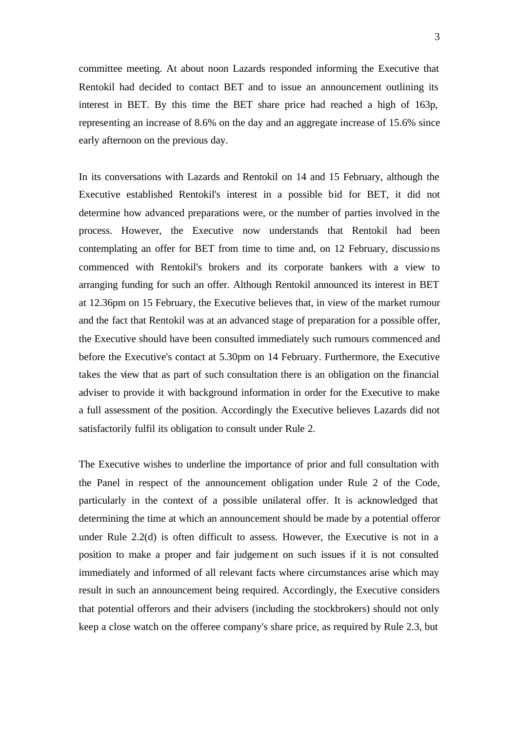committee meeting. At about noon Lazards responded informing the Executive that Rentokil had decided to contact BET and to issue an announcement outlining its interest in BET. By this time the BET share price had reached a high of 163p, representing an increase of 8.6% on the day and an aggregate increase of 15.6% since early afternoon on the previous day.

In its conversations with Lazards and Rentokil on 14 and 15 February, although the Executive established Rentokil's interest in a possible bid for BET, it did not determine how advanced preparations were, or the number of parties involved in the process. However, the Executive now understands that Rentokil had been contemplating an offer for BET from time to time and, on 12 February, discussions commenced with Rentokil's brokers and its corporate bankers with a view to arranging funding for such an offer. Although Rentokil announced its interest in BET at 12.36pm on 15 February, the Executive believes that, in view of the market rumour and the fact that Rentokil was at an advanced stage of preparation for a possible offer, the Executive should have been consulted immediately such rumours commenced and before the Executive's contact at 5.30pm on 14 February. Furthermore, the Executive takes the view that as part of such consultation there is an obligation on the financial adviser to provide it with background information in order for the Executive to make a full assessment of the position. Accordingly the Executive believes Lazards did not satisfactorily fulfil its obligation to consult under Rule 2.

The Executive wishes to underline the importance of prior and full consultation with the Panel in respect of the announcement obligation under Rule 2 of the Code, particularly in the context of a possible unilateral offer. It is acknowledged that determining the time at which an announcement should be made by a potential offeror under Rule 2.2(d) is often difficult to assess. However, the Executive is not in a position to make a proper and fair judgement on such issues if it is not consulted immediately and informed of all relevant facts where circumstances arise which may result in such an announcement being required. Accordingly, the Executive considers that potential offerors and their advisers (including the stockbrokers) should not only keep a close watch on the offeree company's share price, as required by Rule 2.3, but